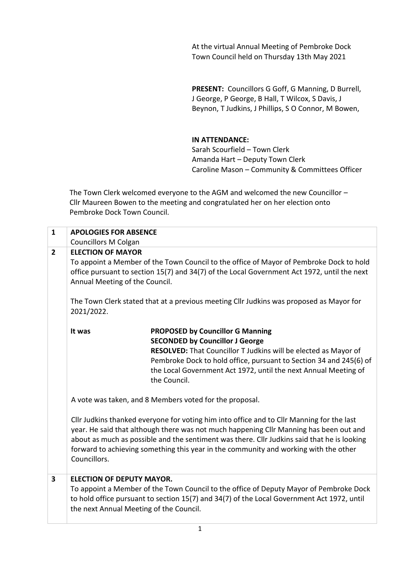At the virtual Annual Meeting of Pembroke Dock Town Council held on Thursday 13th May 2021

**PRESENT:** Councillors G Goff, G Manning, D Burrell, J George, P George, B Hall, T Wilcox, S Davis, J Beynon, T Judkins, J Phillips, S O Connor, M Bowen,

**IN ATTENDANCE:**

Sarah Scourfield – Town Clerk Amanda Hart – Deputy Town Clerk Caroline Mason – Community & Committees Officer

 The Town Clerk welcomed everyone to the AGM and welcomed the new Councillor – Cllr Maureen Bowen to the meeting and congratulated her on her election onto Pembroke Dock Town Council.

| $\mathbf{1}$            | <b>APOLOGIES FOR ABSENCE</b>                                                                                                                                                                                             |                                                                                                                                                                                                                                                                                                                                                                            |  |
|-------------------------|--------------------------------------------------------------------------------------------------------------------------------------------------------------------------------------------------------------------------|----------------------------------------------------------------------------------------------------------------------------------------------------------------------------------------------------------------------------------------------------------------------------------------------------------------------------------------------------------------------------|--|
|                         | <b>Councillors M Colgan</b>                                                                                                                                                                                              |                                                                                                                                                                                                                                                                                                                                                                            |  |
| $\overline{2}$          | <b>ELECTION OF MAYOR</b>                                                                                                                                                                                                 |                                                                                                                                                                                                                                                                                                                                                                            |  |
|                         | To appoint a Member of the Town Council to the office of Mayor of Pembroke Dock to hold<br>office pursuant to section 15(7) and 34(7) of the Local Government Act 1972, until the next<br>Annual Meeting of the Council. |                                                                                                                                                                                                                                                                                                                                                                            |  |
|                         | 2021/2022.                                                                                                                                                                                                               | The Town Clerk stated that at a previous meeting Cllr Judkins was proposed as Mayor for                                                                                                                                                                                                                                                                                    |  |
|                         | It was                                                                                                                                                                                                                   | <b>PROPOSED by Councillor G Manning</b><br><b>SECONDED by Councillor J George</b>                                                                                                                                                                                                                                                                                          |  |
|                         |                                                                                                                                                                                                                          | RESOLVED: That Councillor T Judkins will be elected as Mayor of<br>Pembroke Dock to hold office, pursuant to Section 34 and 245(6) of<br>the Local Government Act 1972, until the next Annual Meeting of<br>the Council.                                                                                                                                                   |  |
|                         | A vote was taken, and 8 Members voted for the proposal.                                                                                                                                                                  |                                                                                                                                                                                                                                                                                                                                                                            |  |
|                         | Councillors.                                                                                                                                                                                                             | Cllr Judkins thanked everyone for voting him into office and to Cllr Manning for the last<br>year. He said that although there was not much happening Cllr Manning has been out and<br>about as much as possible and the sentiment was there. Cllr Judkins said that he is looking<br>forward to achieving something this year in the community and working with the other |  |
| $\overline{\mathbf{3}}$ | <b>ELECTION OF DEPUTY MAYOR.</b><br>the next Annual Meeting of the Council.                                                                                                                                              | To appoint a Member of the Town Council to the office of Deputy Mayor of Pembroke Dock<br>to hold office pursuant to section 15(7) and 34(7) of the Local Government Act 1972, until                                                                                                                                                                                       |  |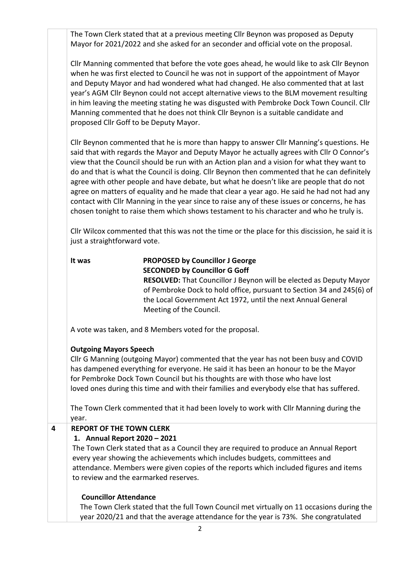The Town Clerk stated that at a previous meeting Cllr Beynon was proposed as Deputy Mayor for 2021/2022 and she asked for an seconder and official vote on the proposal.

Cllr Manning commented that before the vote goes ahead, he would like to ask Cllr Beynon when he was first elected to Council he was not in support of the appointment of Mayor and Deputy Mayor and had wondered what had changed. He also commented that at last year's AGM Cllr Beynon could not accept alternative views to the BLM movement resulting in him leaving the meeting stating he was disgusted with Pembroke Dock Town Council. Cllr Manning commented that he does not think Cllr Beynon is a suitable candidate and proposed Cllr Goff to be Deputy Mayor.

Cllr Beynon commented that he is more than happy to answer Cllr Manning's questions. He said that with regards the Mayor and Deputy Mayor he actually agrees with Cllr O Connor's view that the Council should be run with an Action plan and a vision for what they want to do and that is what the Council is doing. Cllr Beynon then commented that he can definitely agree with other people and have debate, but what he doesn't like are people that do not agree on matters of equality and he made that clear a year ago. He said he had not had any contact with Cllr Manning in the year since to raise any of these issues or concerns, he has chosen tonight to raise them which shows testament to his character and who he truly is.

Cllr Wilcox commented that this was not the time or the place for this discission, he said it is just a straightforward vote.

# **It was PROPOSED by Councillor J George SECONDED by Councillor G Goff**

 **RESOLVED:** That Councillor J Beynon will be elected as Deputy Mayor of Pembroke Dock to hold office, pursuant to Section 34 and 245(6) of the Local Government Act 1972, until the next Annual General Meeting of the Council.

A vote was taken, and 8 Members voted for the proposal.

## **Outgoing Mayors Speech**

Cllr G Manning (outgoing Mayor) commented that the year has not been busy and COVID has dampened everything for everyone. He said it has been an honour to be the Mayor for Pembroke Dock Town Council but his thoughts are with those who have lost loved ones during this time and with their families and everybody else that has suffered.

The Town Clerk commented that it had been lovely to work with Cllr Manning during the year.

## **4 REPORT OF THE TOWN CLERK**

#### **1. Annual Report 2020 – 2021**

The Town Clerk stated that as a Council they are required to produce an Annual Report every year showing the achievements which includes budgets, committees and attendance. Members were given copies of the reports which included figures and items to review and the earmarked reserves.

#### **Councillor Attendance**

The Town Clerk stated that the full Town Council met virtually on 11 occasions during the year 2020/21 and that the average attendance for the year is 73%. She congratulated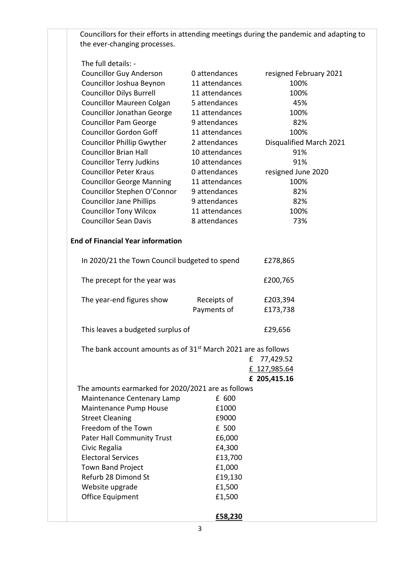Councillors for their efforts in attending meetings during the pandemic and adapting to the ever-changing processes.

## The full details: -

| <b>Councillor Guy Anderson</b>                                            | 0 attendances  | resigned February 2021  |  |  |
|---------------------------------------------------------------------------|----------------|-------------------------|--|--|
| Councillor Joshua Beynon                                                  | 11 attendances | 100%                    |  |  |
| <b>Councillor Dilys Burrell</b>                                           | 11 attendances | 100%                    |  |  |
| Councillor Maureen Colgan                                                 | 5 attendances  | 45%                     |  |  |
| <b>Councillor Jonathan George</b>                                         | 11 attendances | 100%                    |  |  |
| <b>Councillor Pam George</b>                                              | 9 attendances  | 82%                     |  |  |
| <b>Councillor Gordon Goff</b>                                             | 11 attendances | 100%                    |  |  |
| <b>Councillor Phillip Gwyther</b>                                         | 2 attendances  | Disqualified March 2021 |  |  |
| <b>Councillor Brian Hall</b>                                              | 10 attendances | 91%                     |  |  |
| <b>Councillor Terry Judkins</b>                                           | 10 attendances | 91%                     |  |  |
| <b>Councillor Peter Kraus</b>                                             | 0 attendances  | resigned June 2020      |  |  |
| <b>Councillor George Manning</b>                                          | 11 attendances | 100%                    |  |  |
| Councillor Stephen O'Connor                                               | 9 attendances  | 82%                     |  |  |
| <b>Councillor Jane Phillips</b>                                           | 9 attendances  | 82%                     |  |  |
| <b>Councillor Tony Wilcox</b>                                             | 11 attendances | 100%                    |  |  |
| <b>Councillor Sean Davis</b>                                              | 8 attendances  | 73%                     |  |  |
|                                                                           |                |                         |  |  |
| <b>End of Financial Year information</b>                                  |                |                         |  |  |
|                                                                           |                |                         |  |  |
| In 2020/21 the Town Council budgeted to spend                             |                | £278,865                |  |  |
|                                                                           |                |                         |  |  |
| The precept for the year was                                              |                | £200,765                |  |  |
|                                                                           |                |                         |  |  |
| The year-end figures show                                                 | Receipts of    | £203,394                |  |  |
|                                                                           | Payments of    | £173,738                |  |  |
|                                                                           |                |                         |  |  |
| This leaves a budgeted surplus of                                         |                | £29,656                 |  |  |
| The bank account amounts as of 31 <sup>st</sup> March 2021 are as follows |                |                         |  |  |
|                                                                           | £              | 77,429.52               |  |  |
|                                                                           |                | £ 127,985.64            |  |  |
|                                                                           |                | £ 205,415.16            |  |  |
| The amounts earmarked for 2020/2021 are as follows                        |                |                         |  |  |
| Maintenance Centenary Lamp                                                | £ 600          |                         |  |  |
| Maintenance Pump House                                                    | £1000          |                         |  |  |
| <b>Street Cleaning</b>                                                    | £9000          |                         |  |  |
| Freedom of the Town                                                       | £ 500          |                         |  |  |
| <b>Pater Hall Community Trust</b>                                         | £6,000         |                         |  |  |
| Civic Regalia                                                             | £4,300         |                         |  |  |
| <b>Electoral Services</b>                                                 | £13,700        |                         |  |  |
| <b>Town Band Project</b>                                                  | £1,000         |                         |  |  |
| Refurb 28 Dimond St                                                       | £19,130        |                         |  |  |
| Website upgrade                                                           | £1,500         |                         |  |  |
| Office Equipment                                                          | £1,500         |                         |  |  |
|                                                                           |                |                         |  |  |
|                                                                           | £58,230        |                         |  |  |
|                                                                           |                |                         |  |  |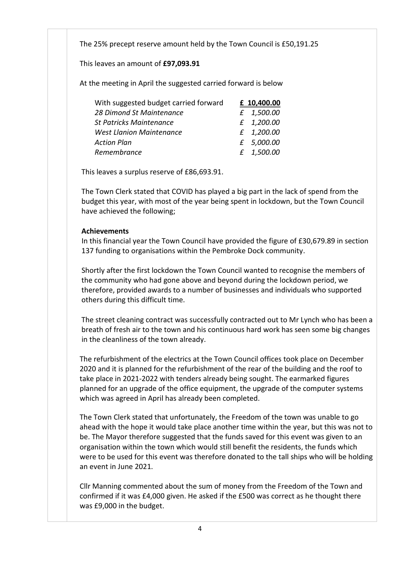The 25% precept reserve amount held by the Town Council is £50,191.25

This leaves an amount of **£97,093.91**

At the meeting in April the suggested carried forward is below

| With suggested budget carried forward | £ 10,400.00 |
|---------------------------------------|-------------|
| 28 Dimond St Maintenance              | £ 1,500.00  |
| <b>St Patricks Maintenance</b>        | £ 1,200.00  |
| <b>West Llanion Maintenance</b>       | £ 1,200.00  |
| <b>Action Plan</b>                    | £ 5,000.00  |
| Remembrance                           | £ 1,500.00  |

This leaves a surplus reserve of £86,693.91.

 The Town Clerk stated that COVID has played a big part in the lack of spend from the budget this year, with most of the year being spent in lockdown, but the Town Council have achieved the following;

#### **Achievements**

 In this financial year the Town Council have provided the figure of £30,679.89 in section 137 funding to organisations within the Pembroke Dock community.

 Shortly after the first lockdown the Town Council wanted to recognise the members of the community who had gone above and beyond during the lockdown period, we therefore, provided awards to a number of businesses and individuals who supported others during this difficult time.

 The street cleaning contract was successfully contracted out to Mr Lynch who has been a breath of fresh air to the town and his continuous hard work has seen some big changes in the cleanliness of the town already.

 The refurbishment of the electrics at the Town Council offices took place on December 2020 and it is planned for the refurbishment of the rear of the building and the roof to take place in 2021-2022 with tenders already being sought. The earmarked figures planned for an upgrade of the office equipment, the upgrade of the computer systems which was agreed in April has already been completed.

 The Town Clerk stated that unfortunately, the Freedom of the town was unable to go ahead with the hope it would take place another time within the year, but this was not to be. The Mayor therefore suggested that the funds saved for this event was given to an organisation within the town which would still benefit the residents, the funds which were to be used for this event was therefore donated to the tall ships who will be holding an event in June 2021.

 Cllr Manning commented about the sum of money from the Freedom of the Town and confirmed if it was £4,000 given. He asked if the £500 was correct as he thought there was £9,000 in the budget.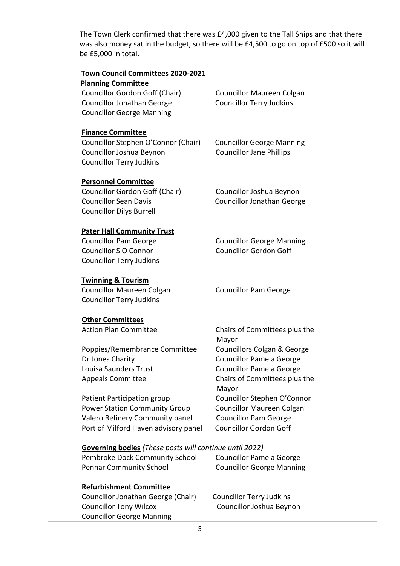| be £5,000 in total.                                            | The Town Clerk confirmed that there was £4,000 given to the Tall Ships and that there<br>was also money sat in the budget, so there will be £4,500 to go on top of £500 so it will |
|----------------------------------------------------------------|------------------------------------------------------------------------------------------------------------------------------------------------------------------------------------|
| Town Council Committees 2020-2021                              |                                                                                                                                                                                    |
| <b>Planning Committee</b>                                      |                                                                                                                                                                                    |
| Councillor Gordon Goff (Chair)                                 | <b>Councillor Maureen Colgan</b>                                                                                                                                                   |
| <b>Councillor Jonathan George</b>                              | <b>Councillor Terry Judkins</b>                                                                                                                                                    |
| <b>Councillor George Manning</b>                               |                                                                                                                                                                                    |
| <b>Finance Committee</b>                                       |                                                                                                                                                                                    |
| Councillor Stephen O'Connor (Chair)                            | <b>Councillor George Manning</b>                                                                                                                                                   |
| Councillor Joshua Beynon                                       | <b>Councillor Jane Phillips</b>                                                                                                                                                    |
| <b>Councillor Terry Judkins</b>                                |                                                                                                                                                                                    |
| <b>Personnel Committee</b>                                     |                                                                                                                                                                                    |
| Councillor Gordon Goff (Chair)                                 | Councillor Joshua Beynon                                                                                                                                                           |
| <b>Councillor Sean Davis</b>                                   | <b>Councillor Jonathan George</b>                                                                                                                                                  |
| <b>Councillor Dilys Burrell</b>                                |                                                                                                                                                                                    |
| <b>Pater Hall Community Trust</b>                              |                                                                                                                                                                                    |
| <b>Councillor Pam George</b>                                   | <b>Councillor George Manning</b>                                                                                                                                                   |
| <b>Councillor S O Connor</b>                                   | <b>Councillor Gordon Goff</b>                                                                                                                                                      |
| <b>Councillor Terry Judkins</b>                                |                                                                                                                                                                                    |
| <b>Twinning &amp; Tourism</b>                                  |                                                                                                                                                                                    |
| Councillor Maureen Colgan                                      | <b>Councillor Pam George</b>                                                                                                                                                       |
| <b>Councillor Terry Judkins</b>                                |                                                                                                                                                                                    |
| <b>Other Committees</b>                                        |                                                                                                                                                                                    |
| <b>Action Plan Committee</b>                                   | Chairs of Committees plus the<br>Mayor                                                                                                                                             |
| Poppies/Remembrance Committee                                  | Councillors Colgan & George                                                                                                                                                        |
| Dr Jones Charity                                               | <b>Councillor Pamela George</b>                                                                                                                                                    |
| Louisa Saunders Trust                                          | <b>Councillor Pamela George</b>                                                                                                                                                    |
| <b>Appeals Committee</b>                                       | Chairs of Committees plus the<br>Mayor                                                                                                                                             |
| Patient Participation group                                    | Councillor Stephen O'Connor                                                                                                                                                        |
| <b>Power Station Community Group</b>                           | Councillor Maureen Colgan                                                                                                                                                          |
| Valero Refinery Community panel                                | <b>Councillor Pam George</b>                                                                                                                                                       |
| Port of Milford Haven advisory panel                           | <b>Councillor Gordon Goff</b>                                                                                                                                                      |
| <b>Governing bodies</b> (These posts will continue until 2022) |                                                                                                                                                                                    |
| Pembroke Dock Community School                                 | <b>Councillor Pamela George</b>                                                                                                                                                    |
| <b>Pennar Community School</b>                                 | <b>Councillor George Manning</b>                                                                                                                                                   |
| <b>Refurbishment Committee</b>                                 |                                                                                                                                                                                    |
| Councillor Jonathan George (Chair)                             | <b>Councillor Terry Judkins</b>                                                                                                                                                    |
| <b>Councillor Tony Wilcox</b>                                  | Councillor Joshua Beynon                                                                                                                                                           |
| <b>Councillor George Manning</b>                               |                                                                                                                                                                                    |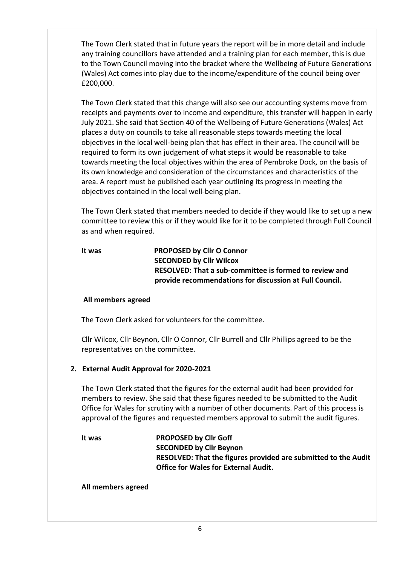The Town Clerk stated that in future years the report will be in more detail and include any training councillors have attended and a training plan for each member, this is due to the Town Council moving into the bracket where the Wellbeing of Future Generations (Wales) Act comes into play due to the income/expenditure of the council being over £200,000.

 The Town Clerk stated that this change will also see our accounting systems move from receipts and payments over to income and expenditure, this transfer will happen in early July 2021. She said that Section 40 of the Wellbeing of Future Generations (Wales) Act places a duty on councils to take all reasonable steps towards meeting the local objectives in the local well-being plan that has effect in their area. The council will be required to form its own judgement of what steps it would be reasonable to take towards meeting the local objectives within the area of Pembroke Dock, on the basis of its own knowledge and consideration of the circumstances and characteristics of the area. A report must be published each year outlining its progress in meeting the objectives contained in the local well-being plan.

 The Town Clerk stated that members needed to decide if they would like to set up a new committee to review this or if they would like for it to be completed through Full Council as and when required.

## **It was PROPOSED by Cllr O Connor SECONDED by Cllr Wilcox RESOLVED: That a sub-committee is formed to review and provide recommendations for discussion at Full Council.**

## **All members agreed**

The Town Clerk asked for volunteers for the committee.

 Cllr Wilcox, Cllr Beynon, Cllr O Connor, Cllr Burrell and Cllr Phillips agreed to be the representatives on the committee.

## **2. External Audit Approval for 2020-2021**

 The Town Clerk stated that the figures for the external audit had been provided for members to review. She said that these figures needed to be submitted to the Audit Office for Wales for scrutiny with a number of other documents. Part of this process is approval of the figures and requested members approval to submit the audit figures.

 **It was PROPOSED by Cllr Goff SECONDED by Cllr Beynon RESOLVED: That the figures provided are submitted to the Audit Office for Wales for External Audit.**

 **All members agreed**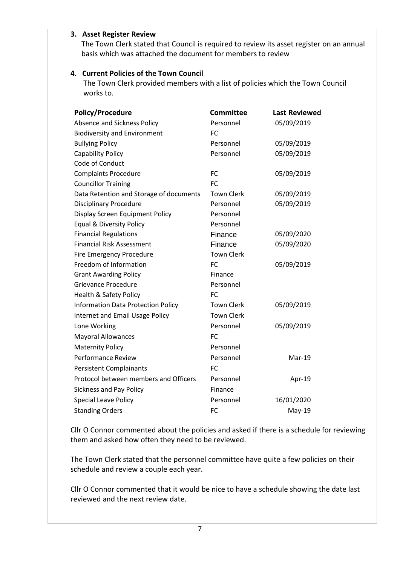#### **3. Asset Register Review**

 The Town Clerk stated that Council is required to review its asset register on an annual basis which was attached the document for members to review

#### **4. Current Policies of the Town Council**

The Town Clerk provided members with a list of policies which the Town Council works to.

| <b>Policy/Procedure</b>                   | <b>Committee</b>  | <b>Last Reviewed</b> |
|-------------------------------------------|-------------------|----------------------|
| Absence and Sickness Policy               | Personnel         | 05/09/2019           |
| <b>Biodiversity and Environment</b>       | <b>FC</b>         |                      |
| <b>Bullying Policy</b>                    | Personnel         | 05/09/2019           |
| <b>Capability Policy</b>                  | Personnel         | 05/09/2019           |
| Code of Conduct                           |                   |                      |
| <b>Complaints Procedure</b>               | <b>FC</b>         | 05/09/2019           |
| <b>Councillor Training</b>                | <b>FC</b>         |                      |
| Data Retention and Storage of documents   | <b>Town Clerk</b> | 05/09/2019           |
| <b>Disciplinary Procedure</b>             | Personnel         | 05/09/2019           |
| Display Screen Equipment Policy           | Personnel         |                      |
| <b>Equal &amp; Diversity Policy</b>       | Personnel         |                      |
| <b>Financial Regulations</b>              | Finance           | 05/09/2020           |
| <b>Financial Risk Assessment</b>          | Finance           | 05/09/2020           |
| Fire Emergency Procedure                  | <b>Town Clerk</b> |                      |
| Freedom of Information                    | FC                | 05/09/2019           |
| <b>Grant Awarding Policy</b>              | Finance           |                      |
| Grievance Procedure                       | Personnel         |                      |
| Health & Safety Policy                    | <b>FC</b>         |                      |
| <b>Information Data Protection Policy</b> | <b>Town Clerk</b> | 05/09/2019           |
| Internet and Email Usage Policy           | <b>Town Clerk</b> |                      |
| Lone Working                              | Personnel         | 05/09/2019           |
| <b>Mayoral Allowances</b>                 | <b>FC</b>         |                      |
| <b>Maternity Policy</b>                   | Personnel         |                      |
| <b>Performance Review</b>                 | Personnel         | Mar-19               |
| <b>Persistent Complainants</b>            | <b>FC</b>         |                      |
| Protocol between members and Officers     | Personnel         | Apr-19               |
| <b>Sickness and Pay Policy</b>            | Finance           |                      |
| Special Leave Policy                      | Personnel         | 16/01/2020           |
| <b>Standing Orders</b>                    | <b>FC</b>         | $May-19$             |

Cllr O Connor commented about the policies and asked if there is a schedule for reviewing them and asked how often they need to be reviewed.

The Town Clerk stated that the personnel committee have quite a few policies on their schedule and review a couple each year.

Cllr O Connor commented that it would be nice to have a schedule showing the date last reviewed and the next review date.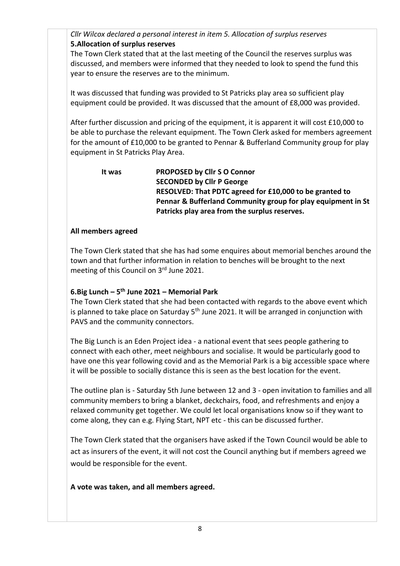*Cllr Wilcox declared a personal interest in item 5. Allocation of surplus reserves* **5.Allocation of surplus reserves**

The Town Clerk stated that at the last meeting of the Council the reserves surplus was discussed, and members were informed that they needed to look to spend the fund this year to ensure the reserves are to the minimum.

It was discussed that funding was provided to St Patricks play area so sufficient play equipment could be provided. It was discussed that the amount of £8,000 was provided.

After further discussion and pricing of the equipment, it is apparent it will cost £10,000 to be able to purchase the relevant equipment. The Town Clerk asked for members agreement for the amount of £10,000 to be granted to Pennar & Bufferland Community group for play equipment in St Patricks Play Area.

 **It was PROPOSED by Cllr S O Connor SECONDED by Cllr P George RESOLVED: That PDTC agreed for £10,000 to be granted to Pennar & Bufferland Community group for play equipment in St Patricks play area from the surplus reserves.**

#### **All members agreed**

The Town Clerk stated that she has had some enquires about memorial benches around the town and that further information in relation to benches will be brought to the next meeting of this Council on 3rd June 2021.

## **6.Big Lunch – 5 th June 2021 – Memorial Park**

The Town Clerk stated that she had been contacted with regards to the above event which is planned to take place on Saturday  $5<sup>th</sup>$  June 2021. It will be arranged in conjunction with PAVS and the community connectors.

The Big Lunch is an Eden Project idea - a national event that sees people gathering to connect with each other, meet neighbours and socialise. It would be particularly good to have one this year following covid and as the Memorial Park is a big accessible space where it will be possible to socially distance this is seen as the best location for the event.

The outline plan is - Saturday 5th June between 12 and 3 - open invitation to families and all community members to bring a blanket, deckchairs, food, and refreshments and enjoy a relaxed community get together. We could let local organisations know so if they want to come along, they can e.g. Flying Start, NPT etc - this can be discussed further.

The Town Clerk stated that the organisers have asked if the Town Council would be able to act as insurers of the event, it will not cost the Council anything but if members agreed we would be responsible for the event.

**A vote was taken, and all members agreed.**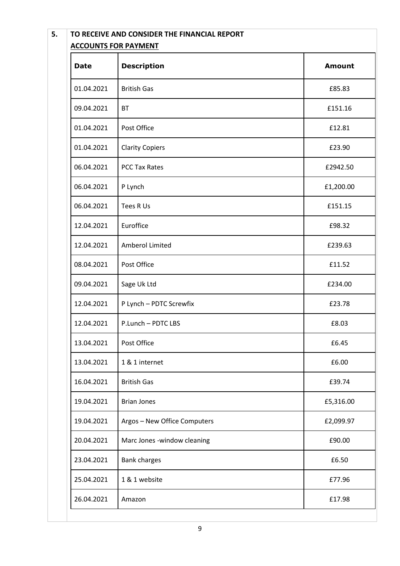| <b>Date</b> | <b>Description</b>           | <b>Amount</b> |
|-------------|------------------------------|---------------|
| 01.04.2021  | <b>British Gas</b>           | £85.83        |
| 09.04.2021  | <b>BT</b>                    | £151.16       |
| 01.04.2021  | Post Office                  | £12.81        |
| 01.04.2021  | <b>Clarity Copiers</b>       | £23.90        |
| 06.04.2021  | <b>PCC Tax Rates</b>         | £2942.50      |
| 06.04.2021  | P Lynch                      | £1,200.00     |
| 06.04.2021  | Tees R Us                    | £151.15       |
| 12.04.2021  | Euroffice                    | £98.32        |
| 12.04.2021  | Amberol Limited              | £239.63       |
| 08.04.2021  | Post Office                  | £11.52        |
| 09.04.2021  | Sage Uk Ltd                  | £234.00       |
| 12.04.2021  | P Lynch - PDTC Screwfix      | £23.78        |
| 12.04.2021  | P.Lunch - PDTC LBS           | £8.03         |
| 13.04.2021  | Post Office                  | £6.45         |
| 13.04.2021  | 1 & 1 internet               | £6.00         |
| 16.04.2021  | <b>British Gas</b>           | £39.74        |
| 19.04.2021  | <b>Brian Jones</b>           | £5,316.00     |
| 19.04.2021  | Argos - New Office Computers | £2,099.97     |
| 20.04.2021  | Marc Jones -window cleaning  | £90.00        |
| 23.04.2021  | <b>Bank charges</b>          | £6.50         |
| 25.04.2021  | 1 & 1 website                | £77.96        |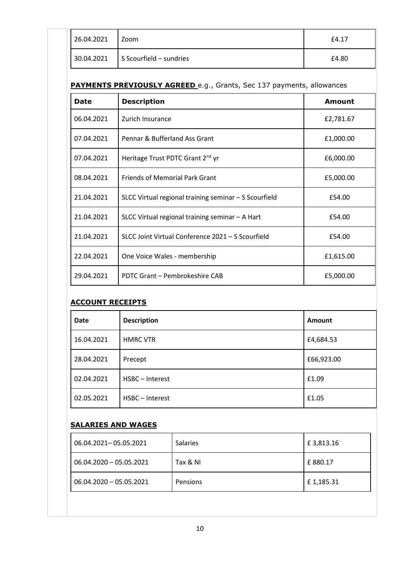| 26.04.2021 | Zoom                                 | £4.17 |
|------------|--------------------------------------|-------|
|            | $30.04.2021$ S Scourfield – sundries | £4.80 |

## **PAYMENTS PREVIOUSLY AGREED** e.g., Grants, Sec 137 payments, allowances

| <b>Date</b> | <b>Description</b>                                    | <b>Amount</b> |
|-------------|-------------------------------------------------------|---------------|
| 06.04.2021  | Zurich Insurance                                      | £2,781.67     |
| 07.04.2021  | Pennar & Bufferland Ass Grant                         | £1,000.00     |
| 07.04.2021  | Heritage Trust PDTC Grant 2 <sup>nd</sup> yr          | £6,000.00     |
| 08.04.2021  | <b>Friends of Memorial Park Grant</b>                 | £5,000.00     |
| 21.04.2021  | SLCC Virtual regional training seminar - S Scourfield | £54.00        |
| 21.04.2021  | SLCC Virtual regional training seminar $-$ A Hart     | £54.00        |
| 21.04.2021  | SLCC Joint Virtual Conference 2021 - S Scourfield     | £54.00        |
| 22.04.2021  | One Voice Wales - membership                          | £1,615.00     |
| 29.04.2021  | PDTC Grant - Pembrokeshire CAB                        | £5,000.00     |

## **ACCOUNT RECEIPTS**

| <b>Date</b> | <b>Description</b> | <b>Amount</b> |
|-------------|--------------------|---------------|
| 16.04.2021  | <b>HMRC VTR</b>    | £4,684.53     |
| 28.04.2021  | Precept            | £66,923.00    |
| 02.04.2021  | HSBC-Interest      | £1.09         |
| 02.05.2021  | HSBC-Interest      | £1.05         |

#### **SALARIES AND WAGES**

| 06.04.2021-05.05.2021     | <b>Salaries</b> | £3,813.16 |
|---------------------------|-----------------|-----------|
| $06.04.2020 - 05.05.2021$ | Tax & NI        | £880.17   |
| $06.04.2020 - 05.05.2021$ | Pensions        | £1,185.31 |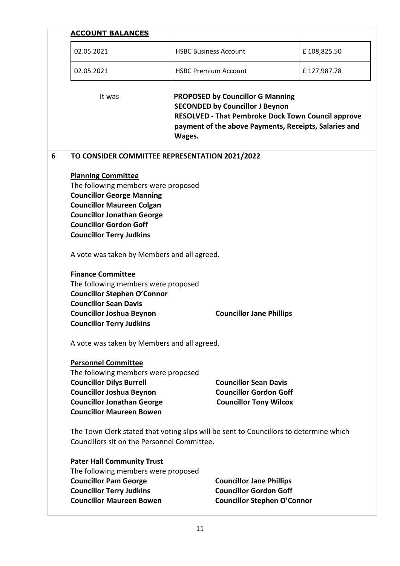| <b>ACCOUNT BALANCES</b>                                                                                                                                                                                                                           |                             |                                                                                                        |             |  |
|---------------------------------------------------------------------------------------------------------------------------------------------------------------------------------------------------------------------------------------------------|-----------------------------|--------------------------------------------------------------------------------------------------------|-------------|--|
| 02.05.2021                                                                                                                                                                                                                                        |                             | <b>HSBC Business Account</b>                                                                           |             |  |
| 02.05.2021                                                                                                                                                                                                                                        | <b>HSBC Premium Account</b> |                                                                                                        | £127,987.78 |  |
| It was<br><b>PROPOSED by Councillor G Manning</b><br><b>SECONDED by Councillor J Beynon</b><br><b>RESOLVED - That Pembroke Dock Town Council approve</b><br>payment of the above Payments, Receipts, Salaries and<br>Wages.                       |                             |                                                                                                        |             |  |
| TO CONSIDER COMMITTEE REPRESENTATION 2021/2022                                                                                                                                                                                                    |                             |                                                                                                        |             |  |
| <b>Planning Committee</b><br>The following members were proposed<br><b>Councillor George Manning</b><br><b>Councillor Maureen Colgan</b><br><b>Councillor Jonathan George</b><br><b>Councillor Gordon Goff</b><br><b>Councillor Terry Judkins</b> |                             |                                                                                                        |             |  |
| A vote was taken by Members and all agreed.                                                                                                                                                                                                       |                             |                                                                                                        |             |  |
| <b>Finance Committee</b><br>The following members were proposed<br><b>Councillor Stephen O'Connor</b><br><b>Councillor Sean Davis</b><br><b>Councillor Joshua Beynon</b><br><b>Councillor Terry Judkins</b>                                       |                             | <b>Councillor Jane Phillips</b>                                                                        |             |  |
| A vote was taken by Members and all agreed.                                                                                                                                                                                                       |                             |                                                                                                        |             |  |
| <b>Personnel Committee</b><br>The following members were proposed<br><b>Councillor Dilys Burrell</b><br><b>Councillor Joshua Beynon</b><br><b>Councillor Jonathan George</b><br><b>Councillor Maureen Bowen</b>                                   |                             | <b>Councillor Sean Davis</b><br><b>Councillor Gordon Goff</b><br><b>Councillor Tony Wilcox</b>         |             |  |
| The Town Clerk stated that voting slips will be sent to Councillors to determine which<br>Councillors sit on the Personnel Committee.                                                                                                             |                             |                                                                                                        |             |  |
| <b>Pater Hall Community Trust</b><br>The following members were proposed<br><b>Councillor Pam George</b><br><b>Councillor Terry Judkins</b><br><b>Councillor Maureen Bowen</b>                                                                    |                             | <b>Councillor Jane Phillips</b><br><b>Councillor Gordon Goff</b><br><b>Councillor Stephen O'Connor</b> |             |  |